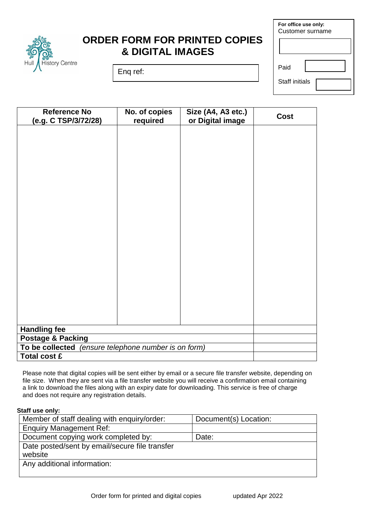

## **ORDER FORM FOR PRINTED COPIES & DIGITAL IMAGES**

Enq ref:

| For office use only:<br>Customer surname |  |  |  |
|------------------------------------------|--|--|--|
|                                          |  |  |  |
| Paid                                     |  |  |  |
| <b>Staff initials</b>                    |  |  |  |

| <b>Reference No</b><br>(e.g. C TSP/3/72/28)             | No. of copies<br>required | Size (A4, A3 etc.)<br>or Digital image | <b>Cost</b> |
|---------------------------------------------------------|---------------------------|----------------------------------------|-------------|
|                                                         |                           |                                        |             |
|                                                         |                           |                                        |             |
|                                                         |                           |                                        |             |
|                                                         |                           |                                        |             |
|                                                         |                           |                                        |             |
|                                                         |                           |                                        |             |
|                                                         |                           |                                        |             |
|                                                         |                           |                                        |             |
|                                                         |                           |                                        |             |
|                                                         |                           |                                        |             |
|                                                         |                           |                                        |             |
|                                                         |                           |                                        |             |
|                                                         |                           |                                        |             |
|                                                         |                           |                                        |             |
|                                                         |                           |                                        |             |
|                                                         |                           |                                        |             |
|                                                         |                           |                                        |             |
|                                                         |                           |                                        |             |
| <b>Handling fee</b>                                     |                           |                                        |             |
| Postage & Packing                                       |                           |                                        |             |
| To be collected<br>(ensure telephone number is on form) |                           |                                        |             |
| <b>Total cost £</b>                                     |                           |                                        |             |

Please note that digital copies will be sent either by email or a secure file transfer website, depending on file size. When they are sent via a file transfer website you will receive a confirmation email containing a link to download the files along with an expiry date for downloading. This service is free of charge and does not require any registration details.

## **Staff use only:**

| Member of staff dealing with enquiry/order:    | Document(s) Location: |  |  |
|------------------------------------------------|-----------------------|--|--|
| <b>Enquiry Management Ref:</b>                 |                       |  |  |
| Document copying work completed by:            | Date:                 |  |  |
| Date posted/sent by email/secure file transfer |                       |  |  |
| website                                        |                       |  |  |
| Any additional information:                    |                       |  |  |
|                                                |                       |  |  |